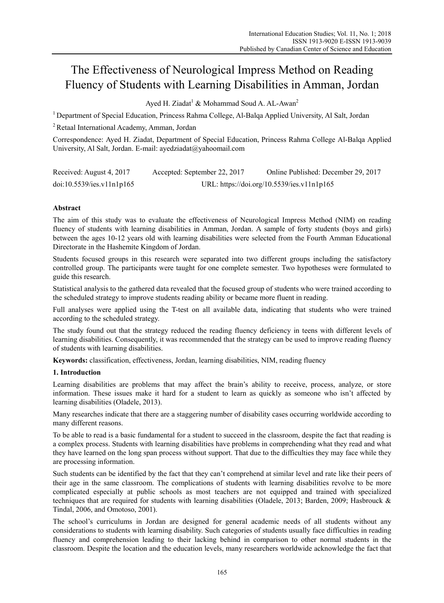# The Effectiveness of Neurological Impress Method on Reading Fluency of Students with Learning Disabilities in Amman, Jordan

Ayed H. Ziadat<sup>1</sup> & Mohammad Soud A. AL-Awan<sup>2</sup>

<sup>1</sup> Department of Special Education, Princess Rahma College, Al-Balga Applied University, Al Salt, Jordan

2 Retaal International Academy, Amman, Jordan

Correspondence: Ayed H. Ziadat, Department of Special Education, Princess Rahma College Al-Balqa Applied University, Al Salt, Jordan. E-mail: ayedziadat@yahoomail.com

| Received: August 4, 2017  | Accepted: September 22, 2017 | Online Published: December 29, 2017        |
|---------------------------|------------------------------|--------------------------------------------|
| doi:10.5539/ies.v11n1p165 |                              | URL: https://doi.org/10.5539/ies.v11n1p165 |

# **Abstract**

The aim of this study was to evaluate the effectiveness of Neurological Impress Method (NIM) on reading fluency of students with learning disabilities in Amman, Jordan. A sample of forty students (boys and girls) between the ages 10-12 years old with learning disabilities were selected from the Fourth Amman Educational Directorate in the Hashemite Kingdom of Jordan.

Students focused groups in this research were separated into two different groups including the satisfactory controlled group. The participants were taught for one complete semester. Two hypotheses were formulated to guide this research.

Statistical analysis to the gathered data revealed that the focused group of students who were trained according to the scheduled strategy to improve students reading ability or became more fluent in reading.

Full analyses were applied using the T-test on all available data, indicating that students who were trained according to the scheduled strategy.

The study found out that the strategy reduced the reading fluency deficiency in teens with different levels of learning disabilities. Consequently, it was recommended that the strategy can be used to improve reading fluency of students with learning disabilities.

**Keywords:** classification, effectiveness, Jordan, learning disabilities, NIM, reading fluency

# **1. Introduction**

Learning disabilities are problems that may affect the brain's ability to receive, process, analyze, or store information. These issues make it hard for a student to learn as quickly as someone who isn't affected by learning disabilities (Oladele, 2013).

Many researches indicate that there are a staggering number of disability cases occurring worldwide according to many different reasons.

To be able to read is a basic fundamental for a student to succeed in the classroom, despite the fact that reading is a complex process. Students with learning disabilities have problems in comprehending what they read and what they have learned on the long span process without support. That due to the difficulties they may face while they are processing information.

Such students can be identified by the fact that they can't comprehend at similar level and rate like their peers of their age in the same classroom. The complications of students with learning disabilities revolve to be more complicated especially at public schools as most teachers are not equipped and trained with specialized techniques that are required for students with learning disabilities (Oladele, 2013; Barden, 2009; Hasbrouck & Tindal, 2006, and Omotoso, 2001).

The school's curriculums in Jordan are designed for general academic needs of all students without any considerations to students with learning disability. Such categories of students usually face difficulties in reading fluency and comprehension leading to their lacking behind in comparison to other normal students in the classroom. Despite the location and the education levels, many researchers worldwide acknowledge the fact that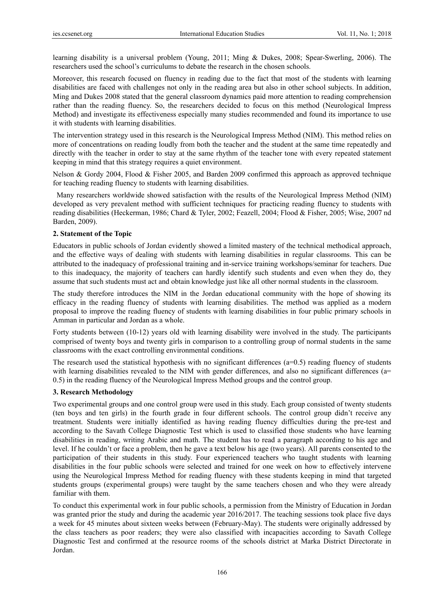learning disability is a universal problem (Young, 2011; Ming & Dukes, 2008; Spear-Swerling, 2006). The researchers used the school's curriculums to debate the research in the chosen schools.

Moreover, this research focused on fluency in reading due to the fact that most of the students with learning disabilities are faced with challenges not only in the reading area but also in other school subjects. In addition, Ming and Dukes 2008 stated that the general classroom dynamics paid more attention to reading comprehension rather than the reading fluency. So, the researchers decided to focus on this method (Neurological Impress Method) and investigate its effectiveness especially many studies recommended and found its importance to use it with students with learning disabilities.

The intervention strategy used in this research is the Neurological Impress Method (NIM). This method relies on more of concentrations on reading loudly from both the teacher and the student at the same time repeatedly and directly with the teacher in order to stay at the same rhythm of the teacher tone with every repeated statement keeping in mind that this strategy requires a quiet environment.

Nelson & Gordy 2004, Flood & Fisher 2005, and Barden 2009 confirmed this approach as approved technique for teaching reading fluency to students with learning disabilities.

Many researchers worldwide showed satisfaction with the results of the Neurological Impress Method (NIM) developed as very prevalent method with sufficient techniques for practicing reading fluency to students with reading disabilities (Heckerman, 1986; Chard & Tyler, 2002; Feazell, 2004; Flood & Fisher, 2005; Wise, 2007 nd Barden, 2009).

#### **2. Statement of the Topic**

Educators in public schools of Jordan evidently showed a limited mastery of the technical methodical approach, and the effective ways of dealing with students with learning disabilities in regular classrooms. This can be attributed to the inadequacy of professional training and in-service training workshops/seminar for teachers. Due to this inadequacy, the majority of teachers can hardly identify such students and even when they do, they assume that such students must act and obtain knowledge just like all other normal students in the classroom.

The study therefore introduces the NIM in the Jordan educational community with the hope of showing its efficacy in the reading fluency of students with learning disabilities. The method was applied as a modern proposal to improve the reading fluency of students with learning disabilities in four public primary schools in Amman in particular and Jordan as a whole.

Forty students between (10-12) years old with learning disability were involved in the study. The participants comprised of twenty boys and twenty girls in comparison to a controlling group of normal students in the same classrooms with the exact controlling environmental conditions.

The research used the statistical hypothesis with no significant differences  $(a=0.5)$  reading fluency of students with learning disabilities revealed to the NIM with gender differences, and also no significant differences (a= 0.5) in the reading fluency of the Neurological Impress Method groups and the control group.

#### **3. Research Methodology**

Two experimental groups and one control group were used in this study. Each group consisted of twenty students (ten boys and ten girls) in the fourth grade in four different schools. The control group didn't receive any treatment. Students were initially identified as having reading fluency difficulties during the pre-test and according to the Savath College Diagnostic Test which is used to classified those students who have learning disabilities in reading, writing Arabic and math. The student has to read a paragraph according to his age and level. If he couldn't or face a problem, then he gave a text below his age (two years). All parents consented to the participation of their students in this study. Four experienced teachers who taught students with learning disabilities in the four public schools were selected and trained for one week on how to effectively intervene using the Neurological Impress Method for reading fluency with these students keeping in mind that targeted students groups (experimental groups) were taught by the same teachers chosen and who they were already familiar with them.

To conduct this experimental work in four public schools, a permission from the Ministry of Education in Jordan was granted prior the study and during the academic year 2016/2017. The teaching sessions took place five days a week for 45 minutes about sixteen weeks between (February-May). The students were originally addressed by the class teachers as poor readers; they were also classified with incapacities according to Savath College Diagnostic Test and confirmed at the resource rooms of the schools district at Marka District Directorate in Jordan.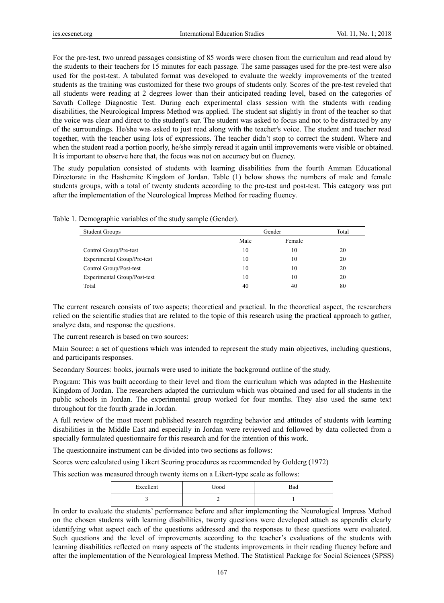For the pre-test, two unread passages consisting of 85 words were chosen from the curriculum and read aloud by the students to their teachers for 15 minutes for each passage. The same passages used for the pre-test were also used for the post-test. A tabulated format was developed to evaluate the weekly improvements of the treated students as the training was customized for these two groups of students only. Scores of the pre-test reveled that all students were reading at 2 degrees lower than their anticipated reading level, based on the categories of Savath College Diagnostic Test. During each experimental class session with the students with reading disabilities, the Neurological Impress Method was applied. The student sat slightly in front of the teacher so that the voice was clear and direct to the student's ear. The student was asked to focus and not to be distracted by any of the surroundings. He/she was asked to just read along with the teacher's voice. The student and teacher read together, with the teacher using lots of expressions. The teacher didn't stop to correct the student. Where and when the student read a portion poorly, he/she simply reread it again until improvements were visible or obtained. It is important to observe here that, the focus was not on accuracy but on fluency.

The study population consisted of students with learning disabilities from the fourth Amman Educational Directorate in the Hashemite Kingdom of Jordan. Table (1) below shows the numbers of male and female students groups, with a total of twenty students according to the pre-test and post-test. This category was put after the implementation of the Neurological Impress Method for reading fluency.

| <b>Student Groups</b>        | Gender         | Total |    |
|------------------------------|----------------|-------|----|
|                              | Male<br>Female |       |    |
| Control Group/Pre-test       | 10             | 10    | 20 |
| Experimental Group/Pre-test  | 10             | 10    | 20 |
| Control Group/Post-test      | 10             | 10    | 20 |
| Experimental Group/Post-test | 10             | 10    | 20 |
| Total                        | 40             | 40    | 80 |

Table 1. Demographic variables of the study sample (Gender).

The current research consists of two aspects; theoretical and practical. In the theoretical aspect, the researchers relied on the scientific studies that are related to the topic of this research using the practical approach to gather, analyze data, and response the questions.

The current research is based on two sources:

Main Source: a set of questions which was intended to represent the study main objectives, including questions, and participants responses.

Secondary Sources: books, journals were used to initiate the background outline of the study.

Program: This was built according to their level and from the curriculum which was adapted in the Hashemite Kingdom of Jordan. The researchers adapted the curriculum which was obtained and used for all students in the public schools in Jordan. The experimental group worked for four months. They also used the same text throughout for the fourth grade in Jordan.

A full review of the most recent published research regarding behavior and attitudes of students with learning disabilities in the Middle East and especially in Jordan were reviewed and followed by data collected from a specially formulated questionnaire for this research and for the intention of this work.

The questionnaire instrument can be divided into two sections as follows:

Scores were calculated using Likert Scoring procedures as recommended by Golderg (1972)

This section was measured through twenty items on a Likert-type scale as follows:

| Excellent | Good | Bad |
|-----------|------|-----|
|           | _    |     |

In order to evaluate the students' performance before and after implementing the Neurological Impress Method on the chosen students with learning disabilities, twenty questions were developed attach as appendix clearly identifying what aspect each of the questions addressed and the responses to these questions were evaluated. Such questions and the level of improvements according to the teacher's evaluations of the students with learning disabilities reflected on many aspects of the students improvements in their reading fluency before and after the implementation of the Neurological Impress Method. The Statistical Package for Social Sciences (SPSS)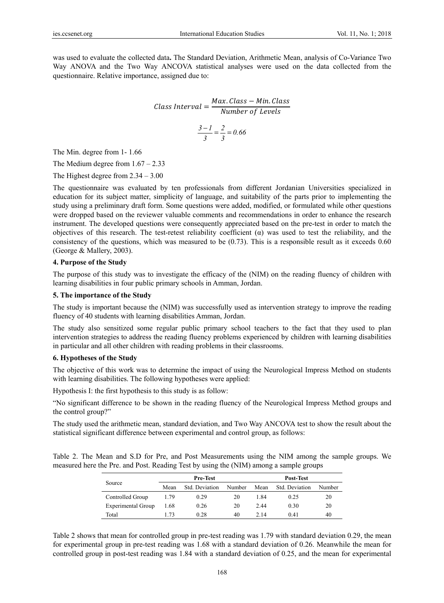was used to evaluate the collected data**.** The Standard Deviation, Arithmetic Mean, analysis of Co-Variance Two Way ANOVA and the Two Way ANCOVA statistical analyses were used on the data collected from the questionnaire. Relative importance, assigned due to:

Class Interval = 
$$
\frac{Max. Class - Min. Class}{Number of Levels}
$$

$$
\frac{3 - 1}{3} = \frac{2}{3} = 0.66
$$

The Min. degree from 1- 1.66

The Medium degree from  $1.67 - 2.33$ 

The Highest degree from 2.34 – 3.00

The questionnaire was evaluated by ten professionals from different Jordanian Universities specialized in education for its subject matter, simplicity of language, and suitability of the parts prior to implementing the study using a preliminary draft form. Some questions were added, modified, or formulated while other questions were dropped based on the reviewer valuable comments and recommendations in order to enhance the research instrument. The developed questions were consequently appreciated based on the pre-test in order to match the objectives of this research. The test-retest reliability coefficient (α) was used to test the reliability, and the consistency of the questions, which was measured to be (0.73). This is a responsible result as it exceeds 0.60 (George & Mallery, 2003).

#### **4. Purpose of the Study**

The purpose of this study was to investigate the efficacy of the (NIM) on the reading fluency of children with learning disabilities in four public primary schools in Amman, Jordan.

## **5. The importance of the Study**

The study is important because the (NIM) was successfully used as intervention strategy to improve the reading fluency of 40 students with learning disabilities Amman, Jordan.

The study also sensitized some regular public primary school teachers to the fact that they used to plan intervention strategies to address the reading fluency problems experienced by children with learning disabilities in particular and all other children with reading problems in their classrooms.

#### **6. Hypotheses of the Study**

The objective of this work was to determine the impact of using the Neurological Impress Method on students with learning disabilities. The following hypotheses were applied:

Hypothesis I: the first hypothesis to this study is as follow:

"No significant difference to be shown in the reading fluency of the Neurological Impress Method groups and the control group?"

The study used the arithmetic mean, standard deviation, and Two Way ANCOVA test to show the result about the statistical significant difference between experimental and control group, as follows:

Table 2. The Mean and S.D for Pre, and Post Measurements using the NIM among the sample groups. We measured here the Pre. and Post. Reading Test by using the (NIM) among a sample groups

|                    | <b>Pre-Test</b> |                |        | Post-Test |                |        |
|--------------------|-----------------|----------------|--------|-----------|----------------|--------|
| Source             | Mean            | Std. Deviation | Number | Mean      | Std. Deviation | Number |
| Controlled Group   | 1.79            | 0.29           | 20     | 1.84      | 0.25           | 20     |
| Experimental Group | 1.68            | 0.26           | 20     | 2.44      | 0.30           | 20     |
| Total              | l 73            | 0.28           | 40     | 2.14      | 0.41           | 40     |

Table 2 shows that mean for controlled group in pre-test reading was 1.79 with standard deviation 0.29, the mean for experimental group in pre-test reading was 1.68 with a standard deviation of 0.26. Meanwhile the mean for controlled group in post-test reading was 1.84 with a standard deviation of 0.25, and the mean for experimental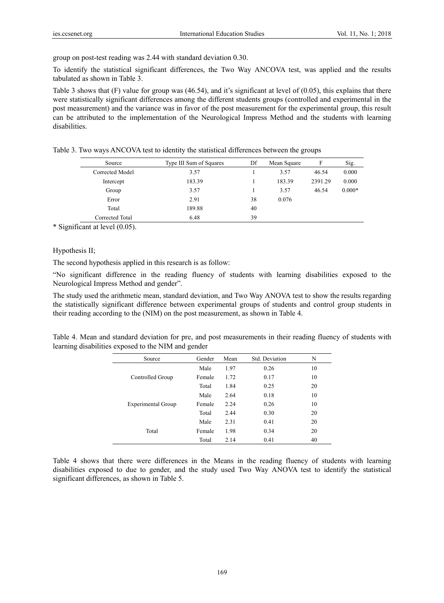group on post-test reading was 2.44 with standard deviation 0.30.

To identify the statistical significant differences, the Two Way ANCOVA test, was applied and the results tabulated as shown in Table 3.

Table 3 shows that  $(F)$  value for group was (46.54), and it's significant at level of (0.05), this explains that there were statistically significant differences among the different students groups (controlled and experimental in the post measurement) and the variance was in favor of the post measurement for the experimental group, this result can be attributed to the implementation of the Neurological Impress Method and the students with learning disabilities.

| Source          | Type III Sum of Squares | Df | Mean Square | F       | Sig.     |
|-----------------|-------------------------|----|-------------|---------|----------|
| Corrected Model | 3.57                    |    | 3.57        | 46.54   | 0.000    |
| Intercept       | 183.39                  |    | 183.39      | 2391.29 | 0.000    |
| Group           | 3.57                    |    | 3.57        | 46.54   | $0.000*$ |
| Error           | 2.91                    | 38 | 0.076       |         |          |
| Total           | 189.88                  | 40 |             |         |          |
| Corrected Total | 6.48                    | 39 |             |         |          |

Table 3. Two ways ANCOVA test to identity the statistical differences between the groups

\* Significant at level (0.05).

## Hypothesis II;

The second hypothesis applied in this research is as follow:

"No significant difference in the reading fluency of students with learning disabilities exposed to the Neurological Impress Method and gender".

The study used the arithmetic mean, standard deviation, and Two Way ANOVA test to show the results regarding the statistically significant difference between experimental groups of students and control group students in their reading according to the (NIM) on the post measurement, as shown in Table 4.

Table 4. Mean and standard deviation for pre, and post measurements in their reading fluency of students with learning disabilities exposed to the NIM and gender

| Source                    | Gender | Mean | Std. Deviation | N  |
|---------------------------|--------|------|----------------|----|
|                           | Male   | 1.97 | 0.26           | 10 |
| Controlled Group          | Female | 1.72 | 0.17           | 10 |
|                           | Total  | 1.84 | 0.25           | 20 |
|                           | Male   | 2.64 | 0.18           | 10 |
| <b>Experimental Group</b> | Female | 2.24 | 0.26           | 10 |
|                           | Total  | 2.44 | 0.30           | 20 |
|                           | Male   | 2.31 | 0.41           | 20 |
| Total                     | Female | 1.98 | 0.34           | 20 |
|                           | Total  | 2.14 | 0.41           | 40 |

Table 4 shows that there were differences in the Means in the reading fluency of students with learning disabilities exposed to due to gender, and the study used Two Way ANOVA test to identify the statistical significant differences, as shown in Table 5.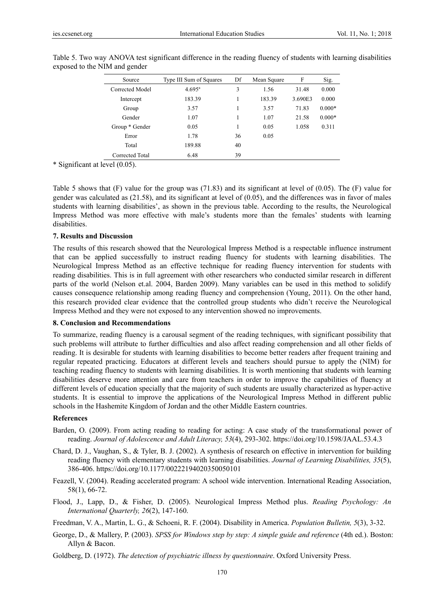| Source          | Type III Sum of Squares | Df | Mean Square | F       | Sig.     |
|-----------------|-------------------------|----|-------------|---------|----------|
| Corrected Model | $4.695^{\text{a}}$      | 3  | 1.56        | 31.48   | 0.000    |
| Intercept       | 183.39                  |    | 183.39      | 3.690E3 | 0.000    |
| Group           | 3.57                    |    | 3.57        | 71.83   | $0.000*$ |
| Gender          | 1.07                    |    | 1.07        | 21.58   | $0.000*$ |
| Group * Gender  | 0.05                    |    | 0.05        | 1.058   | 0.311    |
| Error           | 1.78                    | 36 | 0.05        |         |          |
| Total           | 189.88                  | 40 |             |         |          |
| Corrected Total | 6.48                    | 39 |             |         |          |

Table 5. Two way ANOVA test significant difference in the reading fluency of students with learning disabilities exposed to the NIM and gender

\* Significant at level (0.05).

Table 5 shows that  $(F)$  value for the group was (71.83) and its significant at level of (0.05). The  $(F)$  value for gender was calculated as (21.58), and its significant at level of (0.05), and the differences was in favor of males students with learning disabilities', as shown in the previous table. According to the results, the Neurological Impress Method was more effective with male's students more than the females' students with learning disabilities.

## **7. Results and Discussion**

The results of this research showed that the Neurological Impress Method is a respectable influence instrument that can be applied successfully to instruct reading fluency for students with learning disabilities. The Neurological Impress Method as an effective technique for reading fluency intervention for students with reading disabilities. This is in full agreement with other researchers who conducted similar research in different parts of the world (Nelson et.al. 2004, Barden 2009). Many variables can be used in this method to solidify causes consequence relationship among reading fluency and comprehension (Young, 2011). On the other hand, this research provided clear evidence that the controlled group students who didn't receive the Neurological Impress Method and they were not exposed to any intervention showed no improvements.

#### **8. Conclusion and Recommendations**

To summarize, reading fluency is a carousal segment of the reading techniques, with significant possibility that such problems will attribute to further difficulties and also affect reading comprehension and all other fields of reading. It is desirable for students with learning disabilities to become better readers after frequent training and regular repeated practicing. Educators at different levels and teachers should pursue to apply the (NIM) for teaching reading fluency to students with learning disabilities. It is worth mentioning that students with learning disabilities deserve more attention and care from teachers in order to improve the capabilities of fluency at different levels of education specially that the majority of such students are usually characterized as hyper-active students. It is essential to improve the applications of the Neurological Impress Method in different public schools in the Hashemite Kingdom of Jordan and the other Middle Eastern countries.

#### **References**

- Barden, O. (2009). From acting reading to reading for acting: A case study of the transformational power of reading. *Journal of Adolescence and Adult Literacy, 53*(4), 293-302. https://doi.org/10.1598/JAAL.53.4.3
- Chard, D. J., Vaughan, S., & Tyler, B. J. (2002). A synthesis of research on effective in intervention for building reading fluency with elementary students with learning disabilities. *Journal of Learning Disabilities, 35*(5), 386-406. https://doi.org/10.1177/00222194020350050101
- Feazell, V. (2004). Reading accelerated program: A school wide intervention. International Reading Association, 58(1), 66-72.
- Flood, J., Lapp, D., & Fisher, D. (2005). Neurological Impress Method plus. *Reading Psychology: An International Quarterly, 26*(2), 147-160.
- Freedman, V. A., Martin, L. G., & Schoeni, R. F. (2004). Disability in America. *Population Bulletin, 5*(3), 3-32.
- George, D., & Mallery, P. (2003). *SPSS for Windows step by step: A simple guide and reference* (4th ed.). Boston: Allyn & Bacon.
- Goldberg, D. (1972). *The detection of psychiatric illness by questionnaire*. Oxford University Press.